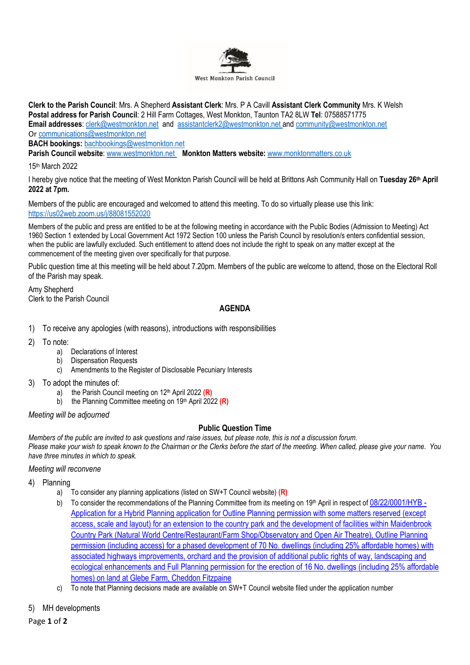

**Clerk to the Parish Council**: Mrs. A Shepherd **Assistant Clerk**: Mrs. P A Cavill **Assistant Clerk Community** Mrs. K Welsh **Postal address for Parish Council**: 2 Hill Farm Cottages, West Monkton, Taunton TA2 8LW **Tel**: 07588571775 **Email addresses**: [clerk@westmonkton.net](mailto:clerk@westmonkton.net) and [assistantclerk2@westmonkton.net](mailto:assistantclerk2@westmonkton.net) an[d community@westmonkton.net](mailto:community@westmonkton.net) Or [communications@westmonkton.net](mailto:communications@westmonkton.net)

**BACH bookings:** [bachbookings@westmonkton.net](mailto:bachbookings@westmonkton.net)

**Parish Council website**: [www.westmonkton.net](http://www.westmonkton.net/) **Monkton Matters website:** [www.monktonmatters.co.uk](http://www.monktonmatters.co.uk/)

15th March 2022

I hereby give notice that the meeting of West Monkton Parish Council will be held at Brittons Ash Community Hall on **Tuesday 26 th April 2022 at 7pm.**

Members of the public are encouraged and welcomed to attend this meeting. To do so virtually please use this link: <https://us02web.zoom.us/j/88081552020>

Members of the public and press are entitled to be at the following meeting in accordance with the Public Bodies (Admission to Meeting) Act 1960 Section 1 extended by Local Government Act 1972 Section 100 unless the Parish Council by resolution/s enters confidential session, when the public are lawfully excluded. Such entitlement to attend does not include the right to speak on any matter except at the commencement of the meeting given over specifically for that purpose.

Public question time at this meeting will be held about 7.20pm. Members of the public are welcome to attend, those on the Electoral Roll of the Parish may speak.

Amy Shepherd Clerk to the Parish Council

# **AGENDA**

- 1) To receive any apologies (with reasons), introductions with responsibilities
- 2) To note:
	- a) Declarations of Interest
	- b) Dispensation Requests
	- c) Amendments to the Register of Disclosable Pecuniary Interests
- 3) To adopt the minutes of:
	- a) the Parish Council meeting on 12<sup>th</sup> April 2022 (R)
	- b) the Planning Committee meeting on 19<sup>th</sup> April 2022 (R)

*Meeting will be adjourned*

## **Public Question Time**

*Members of the public are invited to ask questions and raise issues, but please note, this is not a discussion forum. Please make your wish to speak known to the Chairman or the Clerks before the start of the meeting. When called, please give your name. You have three minutes in which to speak.*

#### *Meeting will reconvene*

- 4) Planning
	- a) To consider any planning applications (listed on SW+T Council website) **(R)**
	- b) To consider the recommendations of the Planning Committee from its meeting on 19th April in respect of  $0.8/22/0001$ /HYB -[Application for a Hybrid Planning application for Outline Planning permission with some matters reserved \(except](https://www3.somersetwestandtaunton.gov.uk/asp/webpages/plan/PlAppDets.asp?casefullref=08/22/0001/HYB&QC=z8XC1)  [access, scale and layout\) for an extension to the country park and the development of facilities within Maidenbrook](https://www3.somersetwestandtaunton.gov.uk/asp/webpages/plan/PlAppDets.asp?casefullref=08/22/0001/HYB&QC=z8XC1)  [Country Park \(Natural World Centre/Restaurant/Farm Shop/Observatory and Open Air Theatre\), Outline Planning](https://www3.somersetwestandtaunton.gov.uk/asp/webpages/plan/PlAppDets.asp?casefullref=08/22/0001/HYB&QC=z8XC1)  permission (including access) for [a phased development of 70 No. dwellings \(including 25% affordable homes\) with](https://www3.somersetwestandtaunton.gov.uk/asp/webpages/plan/PlAppDets.asp?casefullref=08/22/0001/HYB&QC=z8XC1)  [associated highways improvements, orchard and the provision of additional public rights of way, landscaping and](https://www3.somersetwestandtaunton.gov.uk/asp/webpages/plan/PlAppDets.asp?casefullref=08/22/0001/HYB&QC=z8XC1)  [ecological enhancements and Full Planning permission for the erection of 16 No. dwellings \(including 25% affordable](https://www3.somersetwestandtaunton.gov.uk/asp/webpages/plan/PlAppDets.asp?casefullref=08/22/0001/HYB&QC=z8XC1)  [homes\) on land at Glebe Farm, Cheddon Fitzpaine](https://www3.somersetwestandtaunton.gov.uk/asp/webpages/plan/PlAppDets.asp?casefullref=08/22/0001/HYB&QC=z8XC1)
	- c) To note that Planning decisions made are available on SW+T Council website filed under the application number

## 5) MH developments